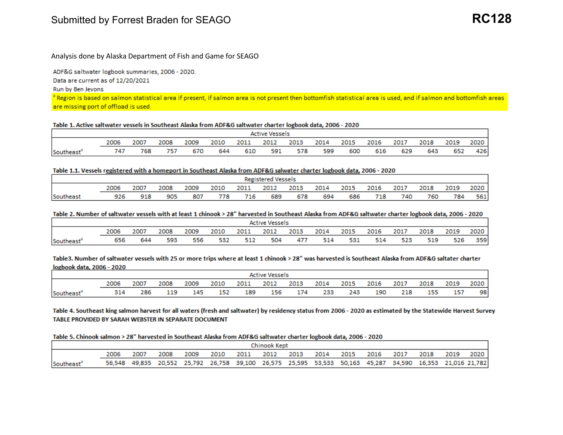# Submitted by Forrest Braden for SEAGO

## Analysis done by Alaska Department of Fish and Game for SEAGO

ADF&G saltwater logbook summaries, 2006 - 2020.

Data are current as of 12/20/2021

Run by Ben Jevons

a Region is based on salmon statistical area if present, if salmon area is not present then bottomfish statistical area is used, and if salmon and bottomfish areas are missing port of offload is used.

#### Table 1. Active saltwater vessels in Southeast Alaska from ADF&G saltwater charter logbook data, 2006 - 2020

|           | <b>Active Vessels</b> |      |      |      |      |      |      |      |      |      |      |      |      |      |        |
|-----------|-----------------------|------|------|------|------|------|------|------|------|------|------|------|------|------|--------|
|           | 2006                  | 2007 | 2008 | 2009 | 2010 | 2011 | 2012 | 2013 | 2014 | 2015 | 2016 | 2017 | 2018 | 2019 | 2020 i |
| Southeast | 747                   | 768  | 757  | 670  | 644  | 610  | 591  | 578  | 599  | 600  | 616  | 629  | 643  | 652  | 426    |

#### Table 1.1. Vessels registered with a homeport in Southeast Alaska from ADF&G salwater charter logbook data, 2006 - 2020

|                 | <b>Registered Vessels</b>                                                                                            |     |     |     |     |     |     |     |     |     |     |     |     |     |     |
|-----------------|----------------------------------------------------------------------------------------------------------------------|-----|-----|-----|-----|-----|-----|-----|-----|-----|-----|-----|-----|-----|-----|
|                 | 2020<br>2018<br>2008<br>2009<br>2013<br>2019<br>2007<br>2014<br>2017<br>2011<br>2012<br>2015<br>2016<br>2010<br>2006 |     |     |     |     |     |     |     |     |     |     |     |     |     |     |
| <b>Southeas</b> | 926                                                                                                                  | 918 | 905 | 807 | 778 | 716 | 689 | 678 | 694 | 686 | 718 | 740 | 760 | 784 | 561 |

#### Table 2. Number of saltwater vessels with at least 1 chinook > 28" harvested in Southeast Alaska from ADF&G saltwater charter logbook data, 2006 - 2020

|           | <b>Active Vessels</b> |      |      |      |      |      |      |      |      |      |      |      |      |      |      |
|-----------|-----------------------|------|------|------|------|------|------|------|------|------|------|------|------|------|------|
|           | 2006                  | 2007 | 2008 | 2009 | 2010 | 2011 | 2012 | 2013 | 2014 | 2015 | 2016 | 2017 | 2018 | 2019 | 2020 |
| Southeast | 656                   | 644  | 593  | 556  | 532  | 512  | 504  | 477  | 514  | 531  | 514  | 523  | 519  | 526  | 359  |

Table3. Number of saltwater vessels with 25 or more trips where at least 1 chinook > 28" was harvested is Southeast Alaska from ADF&G saltater charter logbook data, 2006 - 2020

|           | <b>Active Vessels</b> |      |      |      |      |      |      |      |      |      |      |      |      |      |      |
|-----------|-----------------------|------|------|------|------|------|------|------|------|------|------|------|------|------|------|
|           | 2006                  | 2007 | 2008 | 2009 | 2010 | 2011 | 2012 | 2013 | 2014 | 2015 | 2016 | 2017 | 2018 | 2019 | 2020 |
| Southeast | 314                   | 286  | 119  | 145  | 152  | 189  | 156  | 174  | 233  | 243  | 190  | 218  | 155  | 157  | 98   |

Table 4. Southeast king salmon harvest for all waters (fresh and saltwater) by residency status from 2006 - 2020 as estimated by the Statewide Harvest Survey TABLE PROVIDED BY SARAH WEBSTER IN SEPARATE DOCUMENT

#### Table 5. Chinook salmon > 28" harvested in Southeast Alaska from ADF&G saltwater charter logbook data, 2006 - 2020

|                        | Chinook Kept |      |      |      |      |                |  |  |      |                |  |                                                                                                          |           |  |      |
|------------------------|--------------|------|------|------|------|----------------|--|--|------|----------------|--|----------------------------------------------------------------------------------------------------------|-----------|--|------|
|                        |              | 2007 | 2008 | 2009 | 2010 | 2011 2012 2013 |  |  | 2014 | 2015 2016 2017 |  |                                                                                                          | 2018 2019 |  | 2020 |
| Southeast <sup>®</sup> |              |      |      |      |      |                |  |  |      |                |  | 56,548 49,835 20,552 25,792 26,758 39,100 26,575 25,595 53,533 50,163 45,287 34,590 16,353 21,016 21,782 |           |  |      |